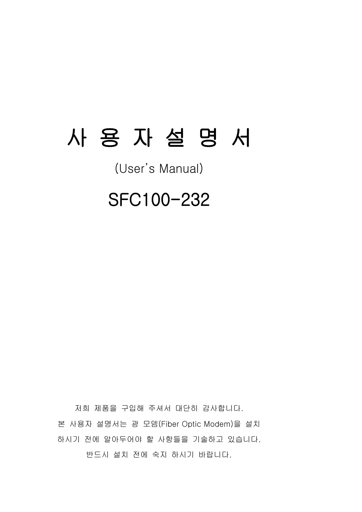# 사 용 자 설 명 서

(User's Manual)

## SFC100-232

저희 제품을 구입해 주셔서 대단히 감사합니다. 본 사용자 설명서는 광 모뎀(Fiber Optic Modem)을 설치 하시기 전에 알아두어야 할 사항들을 기술하고 있습니다. 반드시 설치 전에 숙지 하시기 바랍니다.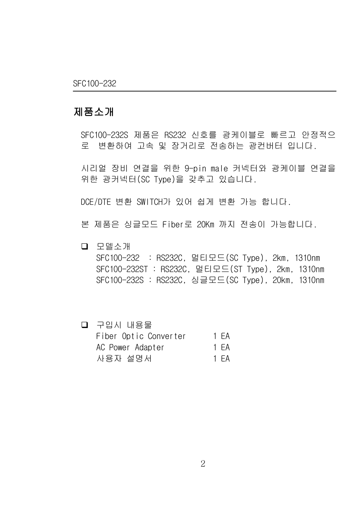#### 제품소개

SFC100-232S 제품은 RS232 신호를 광케이블로 빠르고 안정적으 로 변환하여 고속 및 장거리로 전송하는 광컨버터 입니다.

시리얼 장비 연결을 위한 9-pin male 커넥터와 광케이블 연결을 위한 광커넥터(SC Type)을 갖추고 있습니다.

DCE/DTE 변환 SWITCH가 있어 쉽게 변환 가능 합니다.

본 제품은 싱글모드 Fiber로 20Km 까지 전송이 가능합니다.

- 모델소개 SFC100-232 : RS232C, 멀티모드(SC Type), 2km, 1310nm SFC100-232ST : RS232C, 멀티모드(ST Type), 2km, 1310nm SFC100-232S : RS232C, 싱글모드(SC Type), 20km, 1310nm
	- 구입시 내용물 Fiber Optic Converter 1 EA AC Power Adapter 1 FA 사용자 설명서 1 EA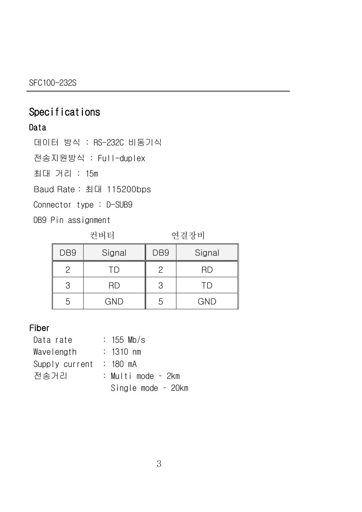### Specifications

#### Data

데이터 방식 : RS-232C 비동기식

전송지원방식 : Full-duplex

최대 거리 : 15m

Baud Rate : 최대 115200bps

Connector type : D-SUB9

DB9 Pin assignment

컨버터 연결장비

| DB <sub>9</sub> | Signal     | DB <sub>9</sub> | Signal     |
|-----------------|------------|-----------------|------------|
|                 | ТD         | 2               | ЧD         |
|                 | <b>RD</b>  | З               |            |
|                 | <b>GND</b> | n               | <b>GND</b> |

#### Fiber

| Data rate      |  | $: 155$ Mb/s          |
|----------------|--|-----------------------|
| Wavelength     |  | $: 1310 \; \text{nm}$ |
| Supply current |  | : 180 mA              |
| 전송거리           |  | : Multi mode – 2km    |
|                |  | Single mode – 20km    |